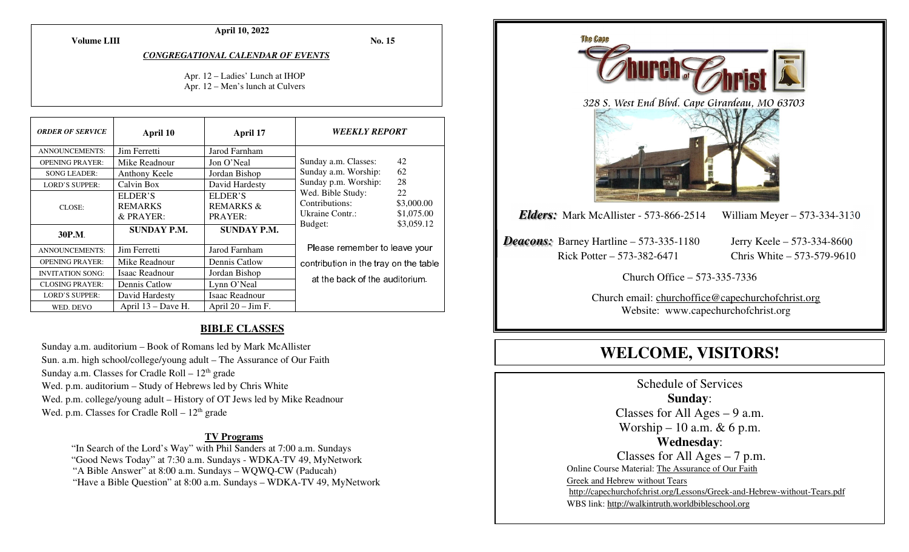**April 10, 2022** 

**Volume LIII**

**No. 15** 

#### *CONGREGATIONAL CALENDAR OF EVENTS*

Apr. 12 – Ladies' Lunch at IHOP Apr. 12 – Men's lunch at Culvers

| <b>ORDER OF SERVICE</b> | April 10           | April 17                    | <i><b>WEEKLY REPORT</b></i>                                                                                                                                                   |    |
|-------------------------|--------------------|-----------------------------|-------------------------------------------------------------------------------------------------------------------------------------------------------------------------------|----|
| <b>ANNOUNCEMENTS:</b>   | Jim Ferretti       | Jarod Farnham               |                                                                                                                                                                               |    |
| <b>OPENING PRAYER:</b>  | Mike Readnour      | Jon O'Neal                  | Sunday a.m. Classes:                                                                                                                                                          | 42 |
| <b>SONG LEADER:</b>     | Anthony Keele      | Jordan Bishop               | Sunday a.m. Worship:<br>62<br>28<br>Sunday p.m. Worship:<br>Wed. Bible Study:<br>22<br>Contributions:<br>\$3,000.00<br>Ukraine Contr.:<br>\$1,075.00<br>\$3,059.12<br>Budget: |    |
| <b>LORD'S SUPPER:</b>   | Calvin Box         | David Hardesty              |                                                                                                                                                                               |    |
| CLOSE:                  | ELDER'S            | ELDER'S                     |                                                                                                                                                                               |    |
|                         | <b>REMARKS</b>     | <b>REMARKS &amp;</b>        |                                                                                                                                                                               |    |
|                         | $&$ PRAYER:        | PRAYER:                     |                                                                                                                                                                               |    |
| 30P.M.                  | <b>SUNDAY P.M.</b> | <b>SUNDAY P.M.</b>          |                                                                                                                                                                               |    |
| ANNOUNCEMENTS:          | Jim Ferretti       | Jarod Farnham               | Please remember to leave your<br>contribution in the tray on the table                                                                                                        |    |
| <b>OPENING PRAYER:</b>  | Mike Readnour      | Dennis Catlow               |                                                                                                                                                                               |    |
| <b>INVITATION SONG:</b> | Isaac Readnour     | Jordan Bishop               | at the back of the auditorium.                                                                                                                                                |    |
| <b>CLOSING PRAYER:</b>  | Dennis Catlow      | Lynn O'Neal                 |                                                                                                                                                                               |    |
| <b>LORD'S SUPPER:</b>   | David Hardesty     | Isaac Readnour              |                                                                                                                                                                               |    |
| WED. DEVO               | April 13 – Dave H. | April $20 - \text{Jim F}$ . |                                                                                                                                                                               |    |

#### **BIBLE CLASSES**

Sunday a.m. auditorium – Book of Romans led by Mark McAllister Sun. a.m. high school/college/young adult – The Assurance of Our Faith Sunday a.m. Classes for Cradle Roll  $-12<sup>th</sup>$  grade Wed. p.m. auditorium – Study of Hebrews led by Chris White Wed. p.m. college/young adult – History of OT Jews led by Mike Readnour Wed. p.m. Classes for Cradle Roll  $-12<sup>th</sup>$  grade

#### **TV Programs**

 "In Search of the Lord's Way" with Phil Sanders at 7:00 a.m. Sundays "Good News Today" at 7:30 a.m. Sundays - WDKA-TV 49, MyNetwork "A Bible Answer" at 8:00 a.m. Sundays – WQWQ-CW (Paducah) "Have a Bible Question" at 8:00 a.m. Sundays – WDKA-TV 49, MyNetwork



Schedule of Services **Sunday**: Classes for All Ages  $-9$  a.m. Worship – 10 a.m.  $& 6$  p.m. **Wednesday**: Classes for All Ages – 7 p.m. Online Course Material: The Assurance of Our Faith Greek and Hebrew without Tears http://capechurchofchrist.org/Lessons/Greek-and-Hebrew-without-Tears.pdfWBS link: http://walkintruth.worldbibleschool.org